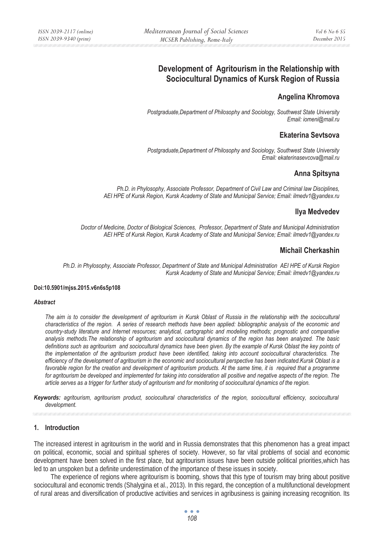# **Development of Agritourism in the Relationship with Sociocultural Dynamics of Kursk Region of Russia**

## **Angelina Khromova**

 *Postgraduate,Department of Philosophy and Sociology, Southwest State University Email: iomeni@mail.ru* 

## **Ekaterina Sevtsova**

*Postgraduate,Department of Philosophy and Sociology, Southwest State University Email: ekaterinasevcova@mail.ru* 

## **Anna Spitsyna**

*Ph.D. in Phylosophy, Associate Professor, Department of Civil Law and Criminal law Disciplines, AEI HPE of Kursk Region, Kursk Academy of State and Municipal Service; Email: ilmedv1@yandex.ru* 

## **Ilya Medvedev**

*Doctor of Medicine, Doctor of Biological Sciences, Professor, Department of State and Municipal Administration AEI HPE of Kursk Region, Kursk Academy of State and Municipal Service; Email: ilmedv1@yandex.ru* 

## **Michail Cherkashin**

*Ph.D. in Phylosophy, Associate Professor, Department of State and Municipal Administration AEI HPE of Kursk Region Kursk Academy of State and Municipal Service; Email: ilmedv1@yandex.ru* 

#### **Doi:10.5901/mjss.2015.v6n6s5p108**

#### *Abstract*

*The aim is to consider the development of agritourism in Kursk Oblast of Russia in the relationship with the sociocultural characteristics of the region. A series of research methods have been applied: bibliographic analysis of the economic and country-study literature and Internet resources; analytical, cartographic and modeling methods; prognostic and comparative analysis methods.The relationship of agritourism and sociocultural dynamics of the region has been analyzed. The basic*  definitions such as agritourism and sociocultural dynamics have been given. By the example of Kursk Oblast the key points of *the implementation of the agritourism product have been identified, taking into account sociocultural characteristics. The efficiency of the development of agritourism in the economic and sociocultural perspective has been indicated.Kursk Oblast is a* favorable region for the creation and development of agritourism products. At the same time, it is required that a programme *for agritourism be developed and implemented for taking into consideration all positive and negative aspects of the region. The article serves as a trigger for further study of agritourism and for monitoring of sociocultural dynamics of the region.* 

*Keywords: agritourism, agritourism product, sociocultural characteristics of the region, sociocultural efficiency, sociocultural development.* 

#### **1. Introduction**

The increased interest in agritourism in the world and in Russia demonstrates that this phenomenon has a great impact on political, economic, social and spiritual spheres of society. However, so far vital problems of social and economic development have been solved in the first place, but agritourism issues have been outside political priorities,which has led to an unspoken but a definite underestimation of the importance of these issues in society.

The experience of regions where agritourism is booming, shows that this type of tourism may bring about positive sociocultural and economic trends (Shalygina et al., 2013). In this regard, the conception of a multifunctional development of rural areas and diversification of productive activities and services in agribusiness is gaining increasing recognition. Its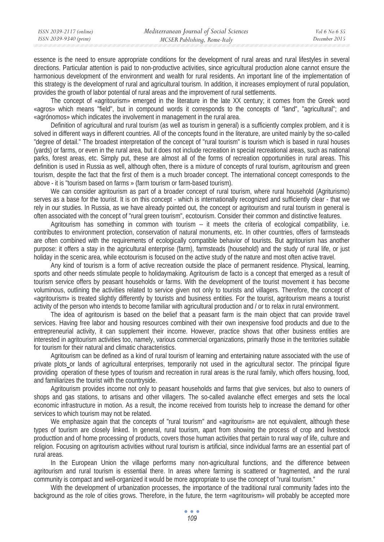essence is the need to ensure appropriate conditions for the development of rural areas and rural lifestyles in several directions. Particular attention is paid to non-productive activities, since agricultural production alone cannot ensure the harmonious development of the environment and wealth for rural residents. An important line of the implementation of this strategy is the development of rural and agricultural tourism. In addition, it increases employment of rural population, provides the growth of labor potential of rural areas and the improvement of rural settlements.

The concept of «agritourism» emerged in the literature in the late XX century; it comes from the Greek word «agros» which means "field", but in compound words it corresponds to the concepts of "land", "agricultural"; and «agrónomos» which indicates the involvement in management in the rural area.

Definition of agricultural and rural tourism (as well as tourism in general) is a sufficiently complex problem, and it is solved in different ways in different countries. All of the concepts found in the literature, are united mainly by the so-called "degree of detail." The broadest interpretation of the concept of "rural tourism" is tourism which is based in rural houses (yards) or farms, or even in the rural area, but it does not include recreation in special recreational areas, such as national parks, forest areas, etc. Simply put, these are almost all of the forms of recreation opportunities in rural areas. This definition is used in Russia as well, although often, there is a mixture of concepts of rural tourism, agritourism and green tourism, despite the fact that the first of them is a much broader concept. The international concept corresponds to the above - it is "tourism based on farms » (farm tourism or farm-based tourism).

We can consider agritourism as part of a broader concept of rural tourism, where rural household (Agriturismo) serves as a base for the tourist. It is on this concept - which is internationally recognized and sufficiently clear - that we rely in our studies. In Russia, as we have already pointed out, the concept or agritourism and rural tourism in general is often associated with the concept of "rural green tourism", ecotourism. Consider their common and distinctive features.

Agritourism has something in common with tourism -- it meets the criteria of ecological compatibility, i.e. contributes to environment protection, conservation of natural monuments, etc. In other countries, offers of farmsteads are often combined with the requirements of ecologically compatible behavior of tourists. But agritourism has another purpose: it offers a stay in the agricultural enterprise (farm), farmsteads (household) and the study of rural life, or just holiday in the scenic area, while ecotourism is focused on the active study of the nature and most often active travel.

Any kind of tourism is a form of active recreation outside the place of permanent residence. Physical, learning, sports and other needs stimulate people to holidaymaking. Agritourism de facto is a concept that emerged as a result of tourism service offers by peasant households or farms. With the development of the tourist movement it has become voluminous, outlining the activities related to service given not only to tourists and villagers. Therefore, the concept of «agritourism» is treated slightly differently by tourists and business entities. For the tourist, agritourism means a tourist activity of the person who intends to become familiar with agricultural production and / or to relax in rural environment.

The idea of agritourism is based on the belief that a peasant farm is the main object that can provide travel services. Having free labor and housing resources combined with their own inexpensive food products and due to the entrepreneurial activity, it can supplement their income. However, practice shows that other business entities are interested in agritourism activities too, namely, various commercial organizations, primarily those in the territories suitable for tourism for their natural and climatic characteristics.

Agritourism can be defined as a kind of rural tourism of learning and entertaining nature associated with the use of private plots or lands of agricultural enterprises, temporarily not used in the agricultural sector. The principal figure providing operation of these types of tourism and recreation in rural areas is the rural family, which offers housing, food, and familiarizes the tourist with the countryside.

Agritourism provides income not only to peasant households and farms that give services, but also to owners of shops and gas stations, to artisans and other villagers. The so-called avalanche effect emerges and sets the local economic infrastructure in motion. As a result, the income received from tourists help to increase the demand for other services to which tourism may not be related.

We emphasize again that the concepts of "rural tourism" and «agritourism» are not equivalent, although these types of tourism are closely linked. In general, rural tourism, apart from showing the process of crop and livestock producttion and of home processing of products, covers those human activities that pertain to rural way of life, culture and religion. Focusing on agritourism activities without rural tourism is artificial, since individual farms are an essential part of rural areas.

In the European Union the village performs many non-agricultural functions, and the difference between agritourism and rural tourism is essential there. In areas where farming is scattered or fragmented, and the rural community is compact and well-organized it would be more appropriate to use the concept of "rural tourism."

With the development of urbanization processes, the importance of the traditional rural community fades into the background as the role of cities grows. Therefore, in the future, the term «agritourism» will probably be accepted more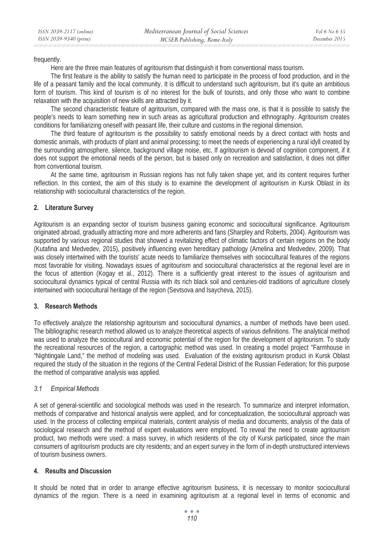frequently.

Here are the three main features of agritourism that distinguish it from conventional mass tourism.

The first feature is the ability to satisfy the human need to participate in the process of food production, and in the life of a peasant family and the local community. It is difficult to understand such agritourism, but it's quite an ambitious form of tourism. This kind of tourism is of no interest for the bulk of tourists, and only those who want to combine relaxation with the acquisition of new skills are attracted by it.

The second characteristic feature of agritourism, compared with the mass one, is that it is possible to satisfy the people's needs to learn something new in such areas as agricultural production and ethnography. Agritourism creates conditions for familiarizing oneself with peasant life, their culture and customs in the regional dimension.

The third feature of agritourism is the possibility to satisfy emotional needs by a direct contact with hosts and domestic animals, with products of plant and animal processing; to meet the needs of experiencing a rural idyll created by the surrounding atmosphere, silence, background village noise, etc. If agritourism is devoid of cognition component, if it does not support the emotional needs of the person, but is based only on recreation and satisfaction, it does not differ from conventional tourism.

At the same time, agritourism in Russian regions has not fully taken shape yet, and its content requires further reflection. In this context, the aim of this study is to examine the development of agritourism in Kursk Oblast in its relationship with sociocultural characteristics of the region.

### **2. Literature Survey**

Agritourism is an expanding sector of tourism business gaining economic and sociocultural significance. Agritourism originated abroad, gradually attracting more and more adherents and fans (Sharpley and Roberts, 2004). Agritourism was supported by various regional studies that showed a revitalizing effect of climatic factors of certain regions on the body (Kutafina and Medvedev, 2015), positively influencing even hereditary pathology (Amelina and Medvedev, 2009). That was closely intertwined with the tourists' acute needs to familiarize themselves with sociocultural features of the regions most favorable for visiting. Nowadays issues of agritourism and sociocultural characteristics at the regional level are in the focus of attention (Kogay et al., 2012). There is a sufficiently great interest to the issues of agritourism and sociocultural dynamics typical of central Russia with its rich black soil and centuries-old traditions of agriculture closely intertwined with sociocultural heritage of the region (Sevtsova and Isaycheva, 2015).

### **3. Research Methods**

To effectively analyze the relationship agritourism and sociocultural dynamics, a number of methods have been used. The bibliographic research method allowed us to analyze theoretical aspects of various definitions. The analytical method was used to analyze the sociocultural and economic potential of the region for the development of agritourism. To study the recreational resources of the region, a cartographic method was used. In creating a model project "Farmhouse in "Nightingale Land," the method of modeling was used. Evaluation of the existing agritourism product in Kursk Oblast required the study of the situation in the regions of the Central Federal District of the Russian Federation; for this purpose the method of comparative analysis was applied.

#### *3.1 Empirical Methods*

A set of general-scientific and sociological methods was used in the research. To summarize and interpret information, methods of comparative and historical analysis were applied, and for conceptualization, the sociocultural approach was used. In the process of collecting empirical materials, content analysis of media and documents, analysis of the data of sociological research and the method of expert evaluations were employed. To reveal the need to create agritourism product, two methods were used: a mass survey, in which residents of the city of Kursk participated, since the main consumers of agritourism products are city residents; and an expert survey in the form of in-depth unstructured interviews of tourism business owners.

### **4. Results and Discussion**

It should be noted that in order to arrange effective agritourism business, it is necessary to monitor sociocultural dynamics of the region. There is a need in examining agritourism at a regional level in terms of economic and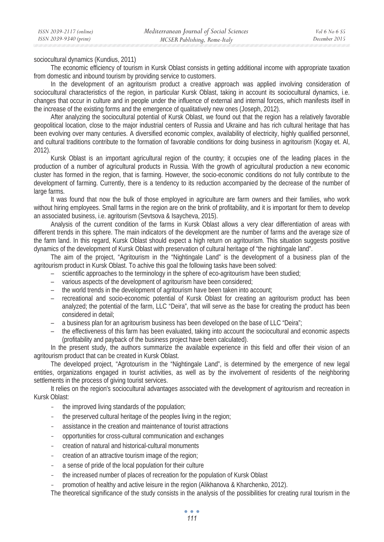#### sociocultural dynamics (Kundius, 2011)

The economic efficiency of tourism in Kursk Oblast consists in getting additional income with appropriate taxation from domestic and inbound tourism by providing service to customers.

In the development of an agritourism product a creative approach was applied involving consideration of sociocultural characteristics of the region, in particular Kursk Oblast, taking in account its sociocultural dynamics, i.e. changes that occur in culture and in people under the influence of external and internal forces, which manifests itself in the increase of the existing forms and the emergence of qualitatively new ones (Joseph, 2012).

After analyzing the sociocultural potential of Kursk Oblast, we found out that the region has a relatively favorable geopolitical location, close to the major industrial centers of Russia and Ukraine and has rich cultural heritage that has been evolving over many centuries. A diversified economic complex, availability of electricity, highly qualified personnel, and cultural traditions contribute to the formation of favorable conditions for doing business in agritourism (Kogay et. Al, 2012).

Kursk Oblast is an important agricultural region of the country; it occupies one of the leading places in the production of a number of agricultural products in Russia. With the growth of agricultural production a new economic cluster has formed in the region, that is farming. However, the socio-economic conditions do not fully contribute to the development of farming. Currently, there is a tendency to its reduction accompanied by the decrease of the number of large farms.

It was found that now the bulk of those employed in agriculture are farm owners and their families, who work without hiring employees. Small farms in the region are on the brink of profitability, and it is important for them to develop an associated business, i.e. agritourism (Sevtsova & Isaycheva, 2015).

Analysis of the current condition of the farms in Kursk Oblast allows a very clear differentiation of areas with different trends in this sphere. The main indicators of the development are the number of farms and the average size of the farm land. In this regard, Kursk Oblast should expect a high return on agritourism. This situation suggests positive dynamics of the development of Kursk Oblast with preservation of cultural heritage of "the nightingale land".

The aim of the project, "Agritourism in the "Nightingale Land" is the development of a business plan of the agritourism product in Kursk Oblast. To achive this goal the following tasks have been solved:

- scientific approaches to the terminology in the sphere of eco-agritourism have been studied;
- various aspects of the development of agritourism have been considered;
- the world trends in the development of agritourism have been taken into account;
- recreational and socio-economic potential of Kursk Oblast for creating an agritourism product has been analyzed; the potential of the farm, LLC "Deira", that will serve as the base for creating the product has been considered in detail;
- a business plan for an agritourism business has been developed on the base of LLC "Deira";
- the effectiveness of this farm has been evaluated, taking into account the sociocultural and economic aspects (profitability and payback of the business project have been calculated).

In the present study, the authors summarize the available experience in this field and offer their vision of an agritourism product that can be created in Kursk Oblast.

The developed project, "Agrotourism in the "Nightingale Land", is determined by the emergence of new legal entities, organizations engaged in tourist activities, as well as by the involvement of residents of the neighboring settlements in the process of giving tourist services.

It relies on the region's sociocultural advantages associated with the development of agritourism and recreation in Kursk Oblast:

- the improved living standards of the population;
- the preserved cultural heritage of the peoples living in the region;
- assistance in the creation and maintenance of tourist attractions
- opportunities for cross-cultural communication and exchanges
- creation of natural and historical-cultural monuments
- creation of an attractive tourism image of the region;
- a sense of pride of the local population for their culture
- the increased number of places of recreation for the population of Kursk Oblast

promotion of healthy and active leisure in the region (Alikhanova & Kharchenko, 2012).

The theoretical significance of the study consists in the analysis of the possibilities for creating rural tourism in the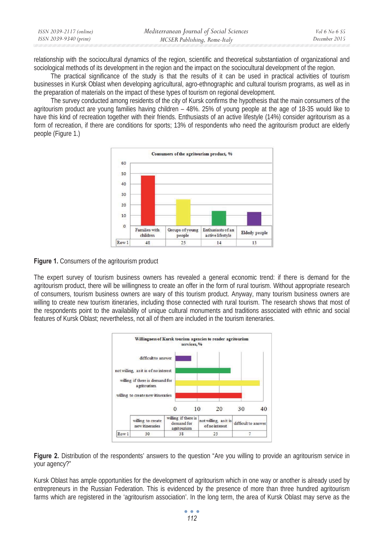| ISSN 2039-2117 (online) | Mediterranean Journal of Social Sciences | Vol 6 No 6 S5 |
|-------------------------|------------------------------------------|---------------|
| ISSN 2039-9340 (print)  | MCSER Publishing, Rome-Italy             | December 2015 |

relationship with the sociocultural dynamics of the region, scientific and theoretical substantiation of organizational and sociological methods of its development in the region and the impact on the sociocultural development of the region.

The practical significance of the study is that the results of it can be used in practical activities of tourism businesses in Kursk Oblast when developing agricultural, agro-ethnographic and cultural tourism programs, as well as in the preparation of materials on the impact of these types of tourism on regional development.

The survey conducted among residents of the city of Kursk confirms the hypothesis that the main consumers of the agritourism product are young families having children – 48%. 25% of young people at the age of 18-35 would like to have this kind of recreation together with their friends. Enthusiasts of an active lifestyle (14%) consider agritourism as a form of recreation, if there are conditions for sports; 13% of respondents who need the agritourism product are elderly people (Figure 1.)



#### **Figure 1.** Consumers of the agritourism product

The expert survey of tourism business owners has revealed a general economic trend: if there is demand for the agritourism product, there will be willingness to create an offer in the form of rural tourism. Without appropriate research of consumers, tourism business owners are wary of this tourism product. Anyway, many tourism business owners are willing to create new tourism itineraries, including those connected with rural tourism. The research shows that most of the respondents point to the availability of unique cultural monuments and traditions associated with ethnic and social features of Kursk Oblast; nevertheless, not all of them are included in the tourism iteneraries.





Kursk Oblast has ample opportunities for the development of agritourism which in one way or another is already used by entrepreneurs in the Russian Federation. This is evidenced by the presence of more than three hundred agritourism farms which are registered in the 'agritourism association'. In the long term, the area of Kursk Oblast may serve as the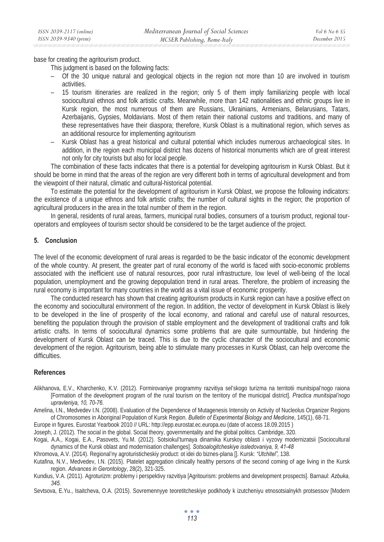base for creating the agritourism product.

This judgment is based on the following facts:

- Of the 30 unique natural and geological objects in the region not more than 10 are involved in tourism activities.
- 15 tourism itineraries are realized in the region; only 5 of them imply familiarizing people with local sociocultural ethnos and folk artistic crafts. Meanwhile, more than 142 nationalities and ethnic groups live in Kursk region, the most numerous of them are Russians, Ukrainians, Armenians, Belarusians, Tatars, Azerbaijanis, Gypsies, Moldavians. Most of them retain their national customs and traditions, and many of these representatives have their diaspora; therefore, Kursk Oblast is a multinational region, which serves as an additional resource for implementing agritourism
- Kursk Oblast has a great historical and cultural potential which includes numerous archaeological sites. In addition, in the region each municipal district has dozens of historical monuments which are of great interest not only for city tourists but also for local people.

The combination of these facts indicates that there is a potential for developing agritourism in Kursk Oblast. But it should be borne in mind that the areas of the region are very different both in terms of agricultural development and from the viewpoint of their natural, climatic and cultural-historical potential.

To estimate the potential for the development of agritourism in Kursk Oblast, we propose the following indicators: the existence of a unique ethnos and folk artistic crafts; the number of cultural sights in the region; the proportion of agricultural producers in the area in the total number of them in the region.

In general, residents of rural areas, farmers, municipal rural bodies, consumers of a tourism product, regional touroperators and employees of tourism sector should be considered to be the target audience of the project.

#### **5. Conclusion**

The level of the economic development of rural areas is regarded to be the basic indicator of the economic development of the whole country. At present, the greater part of rural economy of the world is faced with socio-economic problems associated with the inefficient use of natural resources, poor rural infrastructure, low level of well-being of the local population, unemployment and the growing depopulation trend in rural areas. Therefore, the problem of increasing the rural economy is important for many countries in the world as a vital issue of economic prosperity.

The conducted research has shown that creating agritourism products in Kursk region can have a positive effect on the economy and sociocultural environment of the region. In addition, the vector of development in Kursk Oblast is likely to be developed in the line of prosperity of the local economy, and rational and careful use of natural resources, benefiting the population through the provision of stable employment and the development of traditional crafts and folk artistic crafts. In terms of sociocultural dynamics some problems that are quite surmountable, but hindering the development of Kursk Oblast can be traced. This is due to the cyclic character of the sociocultural and economic development of the region. Agritourism, being able to stimulate many processes in Kursk Oblast, can help overcome the difficulties.

### **References**

- Alikhanova, E.V., Kharchenko, K.V. (2012). Formirovaniye programmy razvitiya sel'skogo turizma na territotii munitsipal'nogo raiona [Formation of the development program of the rural tourism on the territory of the municipal district]. *Practica munitsipal'nogo upravleniya, 10, 70-76.*
- Amelina, I.N., Medvedev I.N. (2008). Evaluation of the Dependence of Mutagenesis Intensity on Activity of Nucleolus Organizer Regions of Chromosomes in Aboriginal Population of Kursk Region. *Bulletin of Experimental Biology and Medicine*, 145(1), 68-71.

Europe in figures. Eurostat Yearbook 2010 // URL: http://epp.eurostat.ec.europa.eu (date of access 18.09.2015 )

Joseph, J. (2012). The social in the global. Social theory, governmentality and the global politics. Cambridge, 320.

Kogai, A.A., Kogai, E.A., Pasovets, Yu.M. (2012). Sotsiokul'turnaya dinamika Kurskoy oblasti i vyzovy modernizatsii [Sociocultural dynamics of the Kursk oblast and modernisation challenges]. *Sotsoalogitcheskiye issledovaniya, 9, 41-48*

Khromova, A.V. (2014). Regional'ny agroturisticheskiy product: ot idei do biznes-plana []. Kursk: *"Utchitel",* 138.

Kutafina, N.V., Medvedev, I.N. (2015). Platelet aggregation clinically healthy persons of the second coming of age living in the Kursk region. *Advances in Gerontology*, 28(2), 321-325.

Kundius, V.A. (2011). Agroturizm: problemy i perspektivy razvitiya [Agritourism: problems and development prospects]. Barnaul: *Azbuka, 345.*

Sevtsova, E.Yu., Isaitcheva, O.A. (2015). Sovremennyye teoretitcheskiye podkhody k izutcheniyu etnosotsialnykh protsessov [Modern